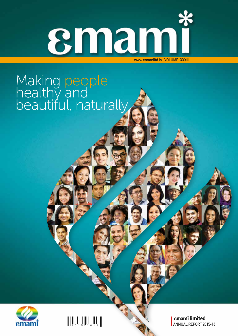

# Making people<br>healthy and beautiful, naturally





**emam**i limited  $\begin{array}{|c|c|c|c|c|}\hline \multicolumn{1}{|c|}{\multicolumn{1}{c|}{\multicolumn{1}{c|}{\multicolumn{1}{c|}{\multicolumn{1}{c|}{\multicolumn{1}{c|}{\multicolumn{1}{c|}{\multicolumn{1}{c|}{\multicolumn{1}{c|}{\multicolumn{1}{c|}{\multicolumn{1}{c|}{\multicolumn{1}{c|}{\multicolumn{1}{c|}{\multicolumn{1}{c|}{\multicolumn{1}{c|}{\multicolumn{1}{c|}{\multicolumn{1}{c|}{\multicolumn{1}{c|}{\multicolumn{1}{c|}{\multicolumn{1}{c|}{$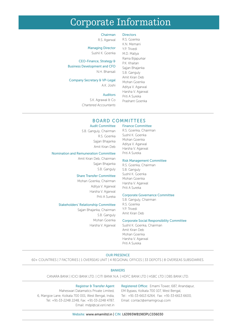## Corporate Information

#### Chairman

R.S. Agarwal

Managing Director Sushil K. Goenka

#### CEO-Finance, Strategy &

Business Development and CFO N.H. Bhansali

#### Company Secretary & VP-Legal A.K. Joshi

#### Auditors

S.K. Agrawal & Co *Chartered Accountants*

R.S. Goenka K.N. Memani Y.P. Trivedi M.D. Mallya Rama Bijapurkar P.K. Khaitan

**Directors** 

Sajjan Bhajanka S.B. Ganguly Amit Kiran Deb Mohan Goenka Aditya V. Agarwal Harsha V. Agarwal Prashant Goenka

#### BOARD COMMITTEES

#### Audit Committee

S.B. Ganguly, Chairman R.S. Goenka Sajjan Bhajanka Amit Kiran Deb

#### Nomination and Remuneration Committee

Amit Kiran Deb, Chairman Sajjan Bhajanka S.B. Ganguly

#### Share Transfer Committee

Mohan Goenka, Chairman Aditya V. Agarwal Harsha V. Agarwal Priti A Sureka

#### Stakeholders' Relationship Committee

Sajjan Bhajanka, Chairman S.B. Ganguly Mohan Goenka Harsha V. Agarwal

#### Finance Committee

R.S. Goenka, Chairman Sushil K. Goenka Mohan Goenka Aditya V. Agarwal Harsha V. Agarwal Priti A Sureka

#### Risk Management Committee

R.S. Goenka, Chairman S.B. Ganguly Sushil K. Goenka Mohan Goenka Harsha V. Agarwal Priti A Sureka

#### Corporate Governance Committee

S.B. Ganguly, Chairman R.S. Goenka Y.P. Trivedi Amit Kiran Deb

#### Corporate Social Responsibility Committee

Sushil K. Goenka, Chairman Amit Kiran Deb Mohan Goenka Harsha V. Agarwal Priti A Sureka

#### OUR PRESENCE

60+ COUNTRIES | 7 FACTORIES | 1 OVERSEAS UNIT | 4 REGIONAL OFFICES | 33 DEPOTS | 8 OVERSEAS SUBSIDIARIES.

#### **BANKERS**

CANARA BANK | ICICI BANK LTD. | CITI BANK N.A. | HDFC BANK LTD | HSBC LTD | DBS BANK LTD.

Registrar & Transfer Agent

Maheswari Datamatics Private Limited, 6, Mangoe Lane, Kolkata 700 001, West Bengal, India, Tel: +91-33-2248 2248, Fax: +91-33-2248 4787, Email: mdpl@cal.vsnl.net.in

Registered Office: Emami Tower, 687, Anandapur, EM Bypass, Kolkata 700 107, West Bengal, Tel : +91-33-6613 6264, Fax: +91-33-6613 6600, Email: contact@emamigroup.com

#### Website: www.emamiltd.in | CIN: L63993WB1983PLC036030

### Priti A Sureka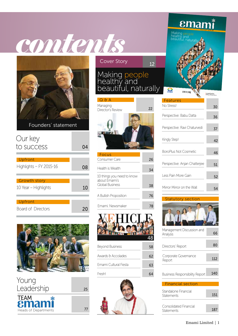# *contents*



Founders' statement

| Our key                   |     |
|---------------------------|-----|
| to success                | (14 |
|                           |     |
| Upfront                   |     |
| Highlights - FY 2015-16   | 08  |
|                           |     |
| <b>Growth story</b>       |     |
| 10 Year – Highlights      | 10  |
|                           |     |
| Upfront                   |     |
| <b>Board of Directors</b> |     |



| Young<br>Leadership                                        | 25             |
|------------------------------------------------------------|----------------|
| <b>TEAM</b><br><b>emami</b><br><b>Heads of Departments</b> | $\prime\prime$ |

Cover Story 12

### Making people<br>healthy and beautiful, naturally



| Focus                                                                 |    |
|-----------------------------------------------------------------------|----|
| Consumer Care                                                         | 26 |
| Health is Wealth                                                      | 34 |
| 10 things you need to know<br>about Fmami's<br><b>Global Business</b> | 38 |
| A Bullish Proposition                                                 | 76 |
| Fmami, Newsmaker                                                      |    |





| anam                                                                                       |  |
|--------------------------------------------------------------------------------------------|--|
| www.emamilist.in   VOLUME: XXXIII<br>Making people<br>healthy and<br>beautiful, naturally, |  |

 $M<sub>h</sub>$ <br>he



Less Pain More Gain **52** Mirror Mirror on the Wall 54



Financial section Business Responsibility Report 140 151 Standalone Financial Statements Consolidated Financial

Statements

187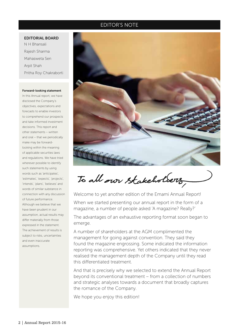#### EDITOR'S NOTE

#### EDITORIAL BOARD

N H Bhansali Rajesh Sharma Mahasweta Sen Arpit Shah Pritha Roy Chakraborti

#### Forward-looking statement

In this Annual report, we have disclosed the Company's objectives, expectations and forecasts to enable investors to comprehend our prospects and take informed investment decisions. This report and other statements – written and oral – that we periodically make may be forwardlooking within the meaning of applicable securities laws and regulations. We have tried wherever possible to identify such statements by using words such as 'anticipates', 'estimates', 'expects', 'projects', 'intends', 'plans', 'believes' and words of similar substance in connection with any discussion of future performance. Although we believe that we have been prudent in our assumption, actual results may differ materially from those expressed in the statement. The achievement of results is subject to risks, uncertainties and even inaccurate assumptions.



To all our stakeholders,

Welcome to yet another edition of the Emami Annual Report!

When we started presenting our annual report in the form of a magazine, a number of people asked 'A magazine? Really?'

The advantages of an exhaustive reporting format soon began to emerge.

A number of shareholders at the AGM complimented the management for going against convention. They said they found the magazine engrossing. Some indicated the information reporting was comprehensive. Yet others indicated that they never realised the management depth of the Company until they read this differentiated treatment.

And that is precisely why we selected to extend the Annual Report beyond its conventional treatment – from a collection of numbers and strategic analyses towards a document that broadly captures the romance of the Company.

We hope you enjoy this edition!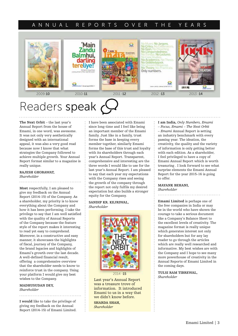#### ANNUAL REPORTS OVER THE YEARS



## Readers speak

**The Next Orbit** – the last year's Annual Report from the house of Emami, in one word, was awesome. It was not only very aesthetically designed with an international appeal, it was also a very good read because now I know that what strategies the Company followed to achieve multiple growth. Your Annual Report format similar to a magazine is really unique.

**RAJESH GHORAWAT,**

*Shareholder*

**Most** respectfully, I am pleased to give my feedback on the Annual Report (2014-15) of the Company. As a shareholder, my priority is to know everything about the Company and how it has been performing. I take the privilege to say that I am well satisfied with the quality of Annual Reports of the Company because the feature style of the report makes it interesting to read yet easy to comprehend. Moreover, in a constructive and easy manner, it showcases the highlights of fiscal, journey of the Company, the brand legacies and highlights of Emami's growth over the last decade. A well-defined financial result, offering a comprehensive overview that the shareholder needs to know to reinforce trust in the company. Using your platform I would give my best wishes to the Company.

#### **MADHUSUDAN DEY,**

*Shareholder*

**I would** like to take the privilege of giving my feedback on the Annual Report (2014-15) of Emami Limited. I have been associated with Emami since long-time and I feel like being an important member of the Emami family. Just like in a family, trust forms the base in keeping every member together, similarly Emami forms the base of this trust and loyalty with its shareholders through each year's Annual Report. Transparent, comprehensive and interesting are the three words I would like to use for the last year's Annual Report. I am pleased to say that each year my expectations with the Company rises and seeing the growth of the company through the report not only fulfils my desired expectation but also builds a stronger equity for the Company.

**SANDIP KR. KEJRIWAL,** *Shareholder*



2014 -15

Last year's Annual Report was a treasure trove of information. It introduced Emami to us in a way that we didn't know before.

**SHARDA SHAH,**  *Shareholder*

**I am India,** *Only Numbers, Emami – Focus, Emami – The Next Orbit – Emami* Annual Report is setting an industry benchmark with every passing year. The ideation, the creativity, the quality and the variety of information is only getting better with each edition. As a shareholder, I feel privileged to have a copy of Emami Annual Report which is worth treasuring . I look forward to see what surprise elements the Emami Annual Report for the year 2015-16 is going to offer.

**MAYANK BEHANI,** *Shareholder*

**Emami Limited** is perhaps one of the few companies in India or may be in the world who have shown the courage to take a serious document like a Company's Balance Sheet to the excellent levels of creativity. The magazine format is really unique which generates interest not only for shareholders but for any lay reader to go through the articles which are really well researched and informative. My best wishes are with the Company and I hope to see many more powerhouse of creativity in the Annual Reports of Emami Limited in the coming days.

\_\_\_\_\_\_\_\_\_\_\_\_\_\_\_\_\_\_

**TULSI RAM TIBREWAL,** *Shareholder*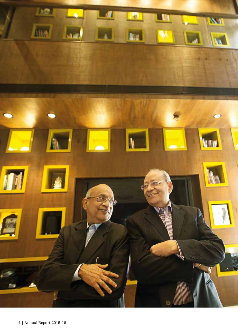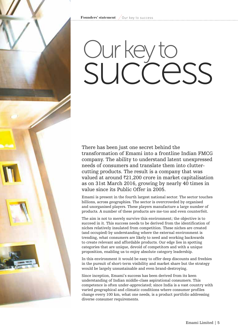

# SUCCESS Our key to

There has been just one secret behind the transformation of Emami into a frontline Indian FMCG company. The ability to understand latent unexpressed needs of consumers and translate them into cluttercutting products. The result is a company that was valued at around  $\bar{z}21,200$  crore in market capitalisation as on 31st March 2016, growing by nearly 40 times in value since its Public Offer in 2005.

Emami is present in the fourth largest national sector. The sector touches billions, across geographies. The sector is overcrowded by organised and unorganised players. These players manufacture a large number of products. A number of these products are me-too and even counterfeit.

The aim is not to merely survive this environment; the objective is to succeed in it. This success needs to be derived from the identification of niches relatively insulated from competition. These niches are created (and occupied) by understanding where the external environment is trending, what consumers are likely to need and working backwards to create relevant and affordable products. Our edge lies in spotting categories that are unique, devoid of competitors and with a unique proposition, enabling us to enjoy absolute category leadership.

In this environment it would be easy to offer deep discounts and freebies in the pursuit of short-term visibility and market share but the strategy would be largely unsustainable and even brand-destroying.

Since inception, Emami's success has been derived from its keen understanding of Indian middle-class aspirational consumers. This competence is often under-appreciated; since India is a vast country with varied geographical and climatic conditions where consumer profiles change every 100 km, what one needs, is a product portfolio addressing diverse consumer requirements.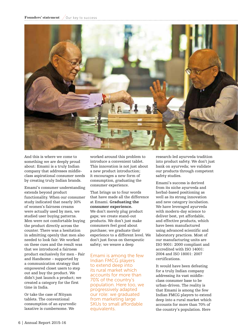

And this is where we come to something we are deeply proud about: Emami is a truly Indian company that addresses middleclass aspirational consumer needs by creating truly Indian brands.

Emami's consumer understanding extends beyond product functionality. When our consumer study indicated that nearly 30% of women's fairness creams were actually used by men, we studied user buying patterns. Men were not comfortable buying the product directly across the counter. There was a hesitation in admitting openly that men also needed to look fair. We worked on these cues and the result was that we introduced a fairness product exclusively for men - Fair and Handsome – supported by a communication strategy that empowered closet users to step out and buy the product. We didn't just launch a product; we created a category for the first time in India.

Or take the case of Nityam tablets. The conventional consumption of an ayurvedic laxative is cumbersome. We

worked around this problem to introduce a convenient tablet. This innovation is not just about a new product introduction; it encourages a new form of consumption, graduating the consumer experience.

That brings us to four words that have made all the difference at Emami. **Graduating the consumer experience.** We don't merely plug product gaps; we create stand-out products. We don't just make consumers feel good about purchase; we graduate their experience to a different level. We don't just focus on therapeutic safety; we weave a deep

Emami is among the few Indian FMCG players to extend deep into its rural market which accounts for more than 70% of the country's population. Here too, we progressively adapted our role: we graduated from marketing large SKUs to small affordable equivalents.

research-led ayurveda tradition into product safety. We don't just bank on ayurveda; we validate our products through competent safety studies.

Emami's success is derived from its niche ayurveda and herbal-based positioning as well as its strong innovation and new category incubation. We have leveraged ayurveda with modern-day science to deliver best, yet affordable, and effective products, which have been manufactured using advanced scientific and laboratory practices. Most of our manufacturing units are ISO 9001: 2000 compliant and accredited with ISO 14001: 2004 and ISO 18001: 2007 certifications.

It would have been defeating for a truly Indian company addressing its vast middleclass consumer base to be urban-driven. The reality is that Emami is among the few Indian FMCG players to extend deep into a rural market which accounts for more than 70% of the country's population. Here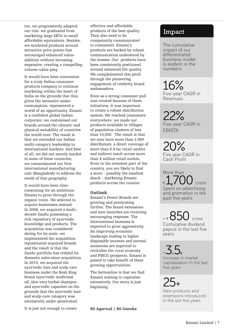too, we progressively adapted our role: we graduated from marketing large SKUs to small affordable equivalents. Besides, we marketed products around attractive price points that encouraged enhanced valueaddition without becoming expensive, creating a compelling volume-value play.

It would have been convenient for a truly Indian consumer products company to continue marketing within the heart of India on the grounds that this, given the extensive underconsumption, represented a world of an opportunity. Emami is a confident global Indian corporate; we customised our brands around the climatic and physical suitability of countries the world over. The result is that we extended our Indian multi-category leadership to international markets. And best of all, we did not merely market in some of these countries; we commissioned our first international manufacturing unit (Bangladesh) to address the needs of that geography.

It would have been timeconsuming for an ambitious Emami to grow through the organic route. We selected to acquire businesses instead. In 2008, we acquired a multidecade Zandu possessing a rich repository of ayurvedic knowledge and products. The acquisition was considered daring for its scale; we implemented the acquisition, repositioned acquired brands and the result is that the Zandu portfolio has trebled its domestic sales since acquisition. In 2015, we acquired the ayurvedic hair and scalp care business under the Kesh King brand (ayurvedic medicinal oil, aloe vera herbal shampoo and ayurvedic capsules) on the grounds that the ayurvedic hair and scalp-care category was extensively under-penetrated.

effective and affordable products of the best quality. They also need to be competently communicated to consumers. Emami's products are backed by robust communication understood by the masses. Our products have been consistently positioned around enhanced life quality. We complemented this pitch through the pioneering engagement of celebrity brand ambassadors.

Even as a strong consumer pull was created because of these initiatives, it was important to create a robust distribution system. We reached consumers everywhere; we made our products available in villages of population clusters of less than 10,000. The result is that we now have more than 2,900 distributors, a direct coverage of more than 6.4 lac retail outlets and indirect reach across more than 4 million retail outlets. Even in the remotest part of the country, you are likely to find a store – possibly the smallest shack – marketing Emami products across the counter.

#### **Outlook**

Emami's Power Brands are growing and penetrating further. The brand extensions and new launches are receiving encouraging response. The International business is expected to grow aggressively. An improving economic landscape leading to higher disposable incomes and normal monsoons are expected to revitalise the rural economy and FMCG prospects. Emami is poised to take benefit of these growing opportunities.

The bottomline is that we find Emami waiting to capitalise extensively. Our story is just beginning.

**RS Agarwal | RS Goenka**

#### Impact

The cumulative impact of our differentiated business model is evident in the numbers

Five-year CAGR in Revenues 16%

Five-year CAGR in EBIDTA 22%

Five year CAGR in Cash Profit 20%

Spent on advertising and promotion in the past five years  $_{\epsilon}$ 1,700 crore More than

Cumulative dividend payout in the last five years . 850

Increase in market capitalisation in the last five years  $-3.5_x$ 

## 25<sup>+</sup>

New products and extensions introduced in the last five years

It is just not enough to create